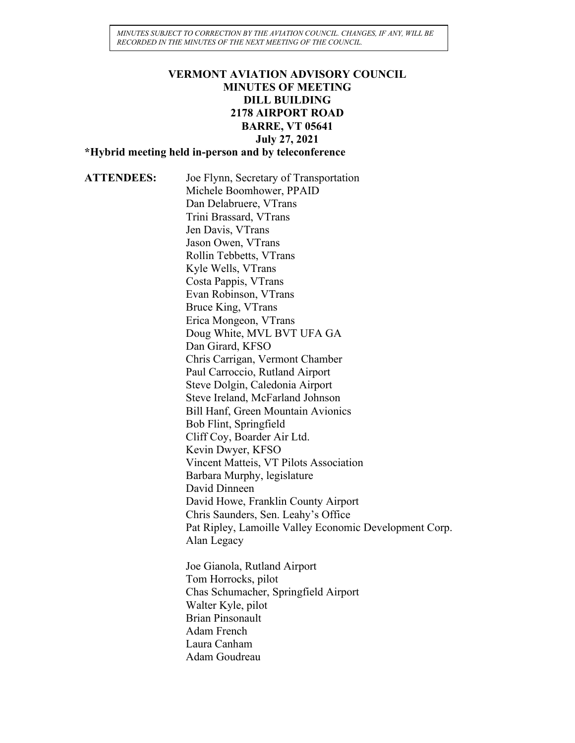*MINUTES SUBJECT TO CORRECTION BY THE AVIATION COUNCIL. CHANGES, IF ANY, WILL BE RECORDED IN THE MINUTES OF THE NEXT MEETING OF THE COUNCIL.*

## **VERMONT AVIATION ADVISORY COUNCIL MINUTES OF MEETING DILL BUILDING 2178 AIRPORT ROAD BARRE, VT 05641 July 27, 2021**

**\*Hybrid meeting held in-person and by teleconference**

**ATTENDEES:** Joe Flynn, Secretary of Transportation Michele Boomhower, PPAID Dan Delabruere, VTrans Trini Brassard, VTrans Jen Davis, VTrans Jason Owen, VTrans Rollin Tebbetts, VTrans Kyle Wells, VTrans Costa Pappis, VTrans Evan Robinson, VTrans Bruce King, VTrans Erica Mongeon, VTrans Doug White, MVL BVT UFA GA Dan Girard, KFSO Chris Carrigan, Vermont Chamber Paul Carroccio, Rutland Airport Steve Dolgin, Caledonia Airport Steve Ireland, McFarland Johnson Bill Hanf, Green Mountain Avionics Bob Flint, Springfield Cliff Coy, Boarder Air Ltd. Kevin Dwyer, KFSO Vincent Matteis, VT Pilots Association Barbara Murphy, legislature David Dinneen David Howe, Franklin County Airport Chris Saunders, Sen. Leahy's Office Pat Ripley, Lamoille Valley Economic Development Corp. Alan Legacy Joe Gianola, Rutland Airport

Tom Horrocks, pilot Chas Schumacher, Springfield Airport Walter Kyle, pilot Brian Pinsonault Adam French Laura Canham Adam Goudreau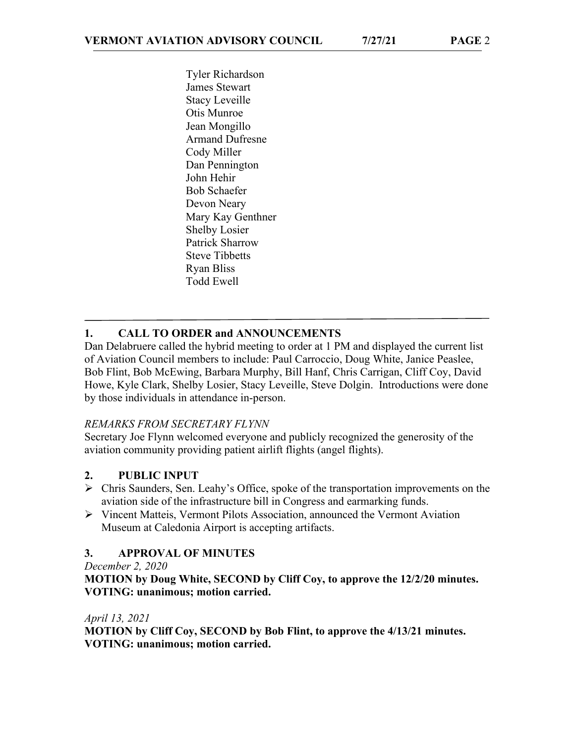Tyler Richardson James Stewart Stacy Leveille Otis Munroe Jean Mongillo Armand Dufresne Cody Miller Dan Pennington John Hehir Bob Schaefer Devon Neary Mary Kay Genthner Shelby Losier Patrick Sharrow Steve Tibbetts Ryan Bliss Todd Ewell

# **1. CALL TO ORDER and ANNOUNCEMENTS**

Dan Delabruere called the hybrid meeting to order at 1 PM and displayed the current list of Aviation Council members to include: Paul Carroccio, Doug White, Janice Peaslee, Bob Flint, Bob McEwing, Barbara Murphy, Bill Hanf, Chris Carrigan, Cliff Coy, David Howe, Kyle Clark, Shelby Losier, Stacy Leveille, Steve Dolgin. Introductions were done by those individuals in attendance in-person.

#### *REMARKS FROM SECRETARY FLYNN*

Secretary Joe Flynn welcomed everyone and publicly recognized the generosity of the aviation community providing patient airlift flights (angel flights).

## **2. PUBLIC INPUT**

- Chris Saunders, Sen. Leahy's Office, spoke of the transportation improvements on the aviation side of the infrastructure bill in Congress and earmarking funds.
- $\triangleright$  Vincent Matteis, Vermont Pilots Association, announced the Vermont Aviation Museum at Caledonia Airport is accepting artifacts.

## **3. APPROVAL OF MINUTES**

*December 2, 2020*

**MOTION by Doug White, SECOND by Cliff Coy, to approve the 12/2/20 minutes. VOTING: unanimous; motion carried.**

*April 13, 2021*

**MOTION by Cliff Coy, SECOND by Bob Flint, to approve the 4/13/21 minutes. VOTING: unanimous; motion carried.**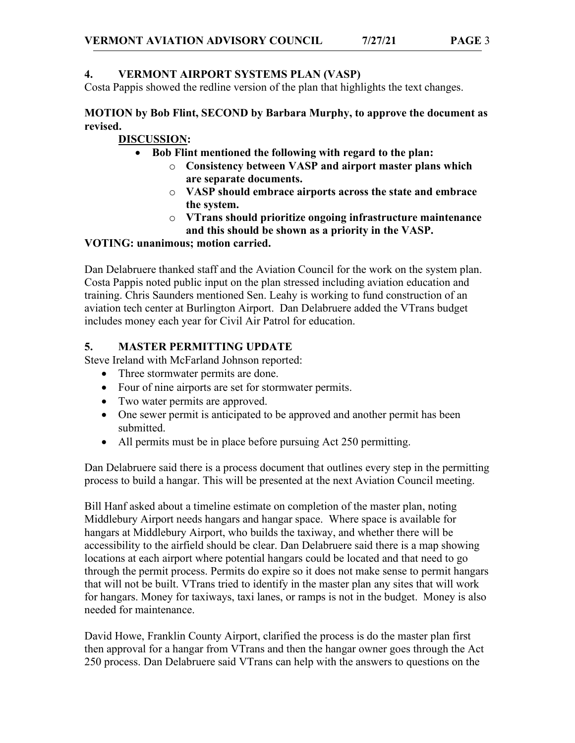Costa Pappis showed the redline version of the plan that highlights the text changes.

### **MOTION by Bob Flint, SECOND by Barbara Murphy, to approve the document as revised.**

## **DISCUSSION:**

• **Bob Flint mentioned the following with regard to the plan:**

- o **Consistency between VASP and airport master plans which are separate documents.**
- o **VASP should embrace airports across the state and embrace the system.**
- o **VTrans should prioritize ongoing infrastructure maintenance and this should be shown as a priority in the VASP.**

## **VOTING: unanimous; motion carried.**

Dan Delabruere thanked staff and the Aviation Council for the work on the system plan. Costa Pappis noted public input on the plan stressed including aviation education and training. Chris Saunders mentioned Sen. Leahy is working to fund construction of an aviation tech center at Burlington Airport. Dan Delabruere added the VTrans budget includes money each year for Civil Air Patrol for education.

## **5. MASTER PERMITTING UPDATE**

Steve Ireland with McFarland Johnson reported:

- Three stormwater permits are done.
- Four of nine airports are set for stormwater permits.
- Two water permits are approved.
- One sewer permit is anticipated to be approved and another permit has been submitted.
- All permits must be in place before pursuing Act 250 permitting.

Dan Delabruere said there is a process document that outlines every step in the permitting process to build a hangar. This will be presented at the next Aviation Council meeting.

Bill Hanf asked about a timeline estimate on completion of the master plan, noting Middlebury Airport needs hangars and hangar space. Where space is available for hangars at Middlebury Airport, who builds the taxiway, and whether there will be accessibility to the airfield should be clear. Dan Delabruere said there is a map showing locations at each airport where potential hangars could be located and that need to go through the permit process. Permits do expire so it does not make sense to permit hangars that will not be built. VTrans tried to identify in the master plan any sites that will work for hangars. Money for taxiways, taxi lanes, or ramps is not in the budget. Money is also needed for maintenance.

David Howe, Franklin County Airport, clarified the process is do the master plan first then approval for a hangar from VTrans and then the hangar owner goes through the Act 250 process. Dan Delabruere said VTrans can help with the answers to questions on the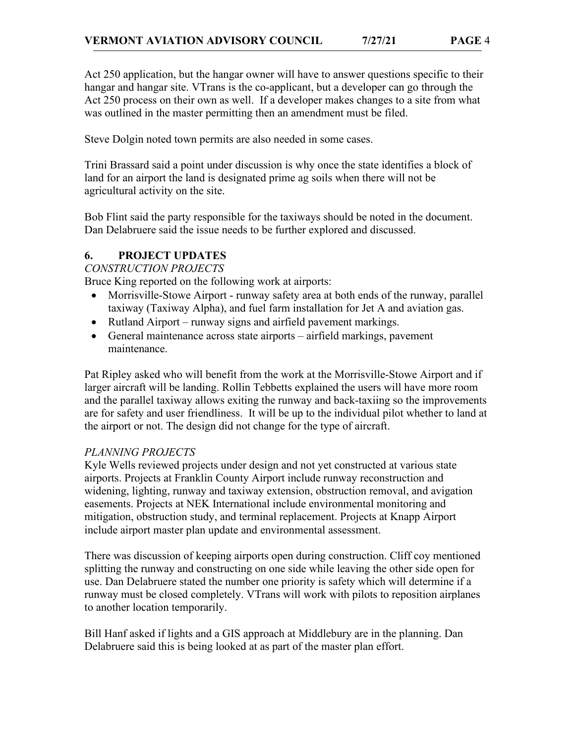Act 250 application, but the hangar owner will have to answer questions specific to their hangar and hangar site. VTrans is the co-applicant, but a developer can go through the Act 250 process on their own as well. If a developer makes changes to a site from what was outlined in the master permitting then an amendment must be filed.

Steve Dolgin noted town permits are also needed in some cases.

Trini Brassard said a point under discussion is why once the state identifies a block of land for an airport the land is designated prime ag soils when there will not be agricultural activity on the site.

Bob Flint said the party responsible for the taxiways should be noted in the document. Dan Delabruere said the issue needs to be further explored and discussed.

### **6. PROJECT UPDATES**

*CONSTRUCTION PROJECTS*

Bruce King reported on the following work at airports:

- Morrisville-Stowe Airport runway safety area at both ends of the runway, parallel taxiway (Taxiway Alpha), and fuel farm installation for Jet A and aviation gas.
- Rutland Airport runway signs and airfield pavement markings.
- General maintenance across state airports airfield markings, pavement maintenance.

Pat Ripley asked who will benefit from the work at the Morrisville-Stowe Airport and if larger aircraft will be landing. Rollin Tebbetts explained the users will have more room and the parallel taxiway allows exiting the runway and back-taxiing so the improvements are for safety and user friendliness. It will be up to the individual pilot whether to land at the airport or not. The design did not change for the type of aircraft.

## *PLANNING PROJECTS*

Kyle Wells reviewed projects under design and not yet constructed at various state airports. Projects at Franklin County Airport include runway reconstruction and widening, lighting, runway and taxiway extension, obstruction removal, and avigation easements. Projects at NEK International include environmental monitoring and mitigation, obstruction study, and terminal replacement. Projects at Knapp Airport include airport master plan update and environmental assessment.

There was discussion of keeping airports open during construction. Cliff coy mentioned splitting the runway and constructing on one side while leaving the other side open for use. Dan Delabruere stated the number one priority is safety which will determine if a runway must be closed completely. VTrans will work with pilots to reposition airplanes to another location temporarily.

Bill Hanf asked if lights and a GIS approach at Middlebury are in the planning. Dan Delabruere said this is being looked at as part of the master plan effort.